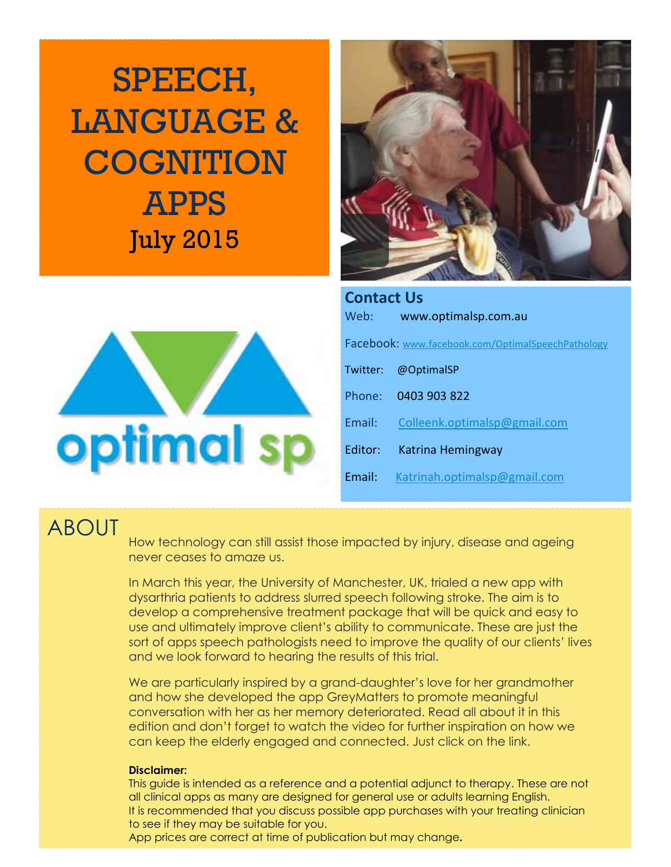SPEECH, LANGUAGE & **COGNITION** APPS July 2015





| <b>Contact Us</b> |                                                   |  |  |  |  |  |  |  |  |
|-------------------|---------------------------------------------------|--|--|--|--|--|--|--|--|
| Web:              | www.optimalsp.com.au                              |  |  |  |  |  |  |  |  |
|                   | Facebook: www.facebook.com/OptimalSpeechPathology |  |  |  |  |  |  |  |  |
| Twitter:          | @OptimalSP                                        |  |  |  |  |  |  |  |  |
|                   | Phone: 0403 903 822                               |  |  |  |  |  |  |  |  |
| Email:            | Colleenk.optimalsp@gmail.com                      |  |  |  |  |  |  |  |  |
| Editor:           | Katrina Hemingway                                 |  |  |  |  |  |  |  |  |
| Fmail:            | Katrinah.optimalsp@gmail.com                      |  |  |  |  |  |  |  |  |

### ABOUT

How technology can still assist those impacted by injury, disease and ageing never ceases to amaze us.

In March this year, the University of Manchester, UK, trialed a new app with dysarthria patients to address slurred speech following stroke. The aim is to develop a comprehensive treatment package that will be quick and easy to use and ultimately improve client's ability to communicate. These are just the sort of apps speech pathologists need to improve the quality of our clients' lives and we look forward to hearing the results of this trial.

We are particularly inspired by a grand-daughter's love for her grandmother and how she developed the app GreyMatters to promote meaningful conversation with her as her memory deteriorated. Read all about it in this edition and don't forget to watch the video for further inspiration on how we can keep the elderly engaged and connected. Just click on the link.

#### **Disclaimer:**

This guide is intended as a reference and a potential adjunct to therapy. These are not all clinical apps as many are designed for general use or adults learning English. It is recommended that you discuss possible app purchases with your treating clinician to see if they may be suitable for you.

App prices are correct at time of publication but may change**.**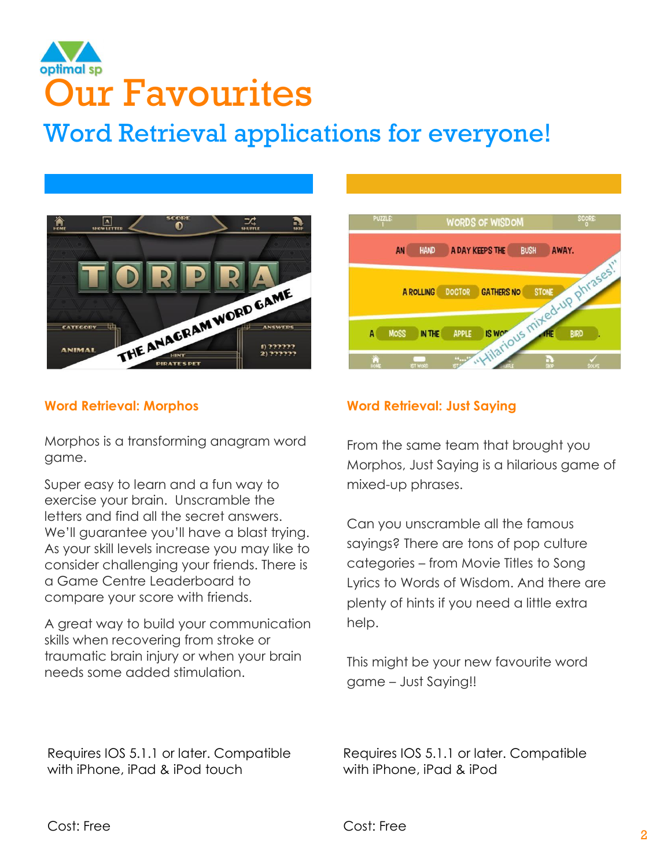## optimal sp Our Favourites

## Word Retrieval applications for everyone!



### **WORDS OF WISDOM** AN **HAND** A DAY KEEPS THE BUSH AWAY. S WORD LIS MITTERS NO STONE AND DITERS OF A ROLLING DOCTOR GATHERS NO MOSS IN THE IS WOP APPLE

### **Word Retrieval: Morphos**

Morphos is a transforming anagram word game.

Super easy to learn and a fun way to exercise your brain. Unscramble the letters and find all the secret answers. We'll guarantee you'll have a blast trying. As your skill levels increase you may like to consider challenging your friends. There is a Game Centre Leaderboard to compare your score with friends.

A great way to build your communication skills when recovering from stroke or traumatic brain injury or when your brain needs some added stimulation.

Requires IOS 5.1.1 or later. Compatible with iPhone, iPad & iPod touch

### **Word Retrieval: Just Saying**

From the same team that brought you Morphos, Just Saying is a hilarious game of mixed-up phrases.

Can you unscramble all the famous sayings? There are tons of pop culture categories – from Movie Titles to Song Lyrics to Words of Wisdom. And there are plenty of hints if you need a little extra help.

This might be your new favourite word game – Just Saying!!

Requires IOS 5.1.1 or later. Compatible with iPhone, iPad & iPod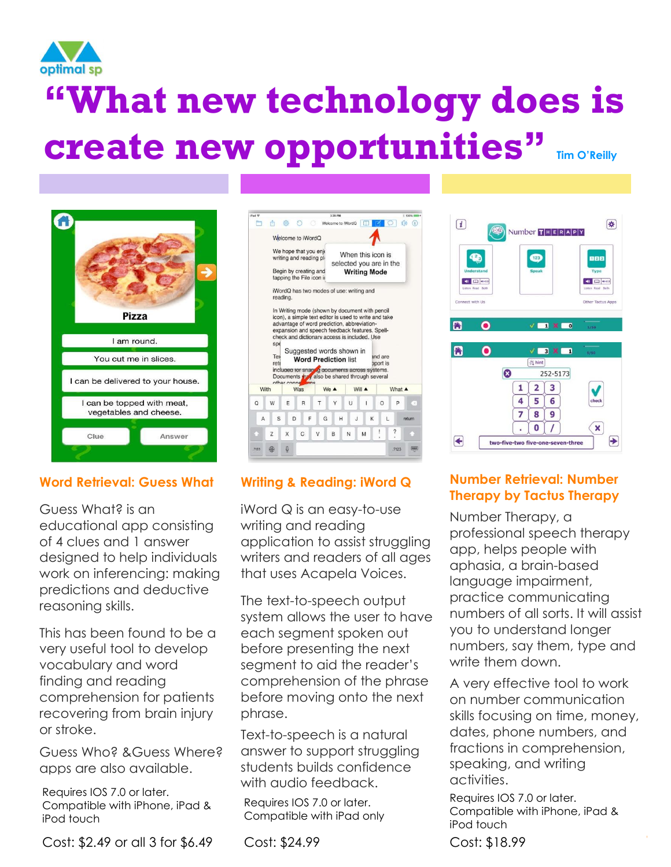

# **"What new technology does is create new opportunities" Tim O'Reilly**



### **Word Retrieval: Guess What**

Guess What? is an educational app consisting of 4 clues and 1 answer designed to help individuals work on inferencing: making predictions and deductive reasoning skills.

This has been found to be a very useful tool to develop vocabulary and word finding and reading comprehension for patients recovering from brain injury or stroke.

Guess Who? &Guess Where? apps are also available.

Requires IOS 7.0 or later. Compatible with iPhone, iPad & iPod touch

Cost: \$2.49 or all 3 for \$6.49

| $P_{\text{rad}}$ $\Phi$ |      |                    |             |   |                                                                                                                                                                                                                                                                             |   |   |   | 3:35 PM                                             |   |                                              |    |        |   |                     |   |                          | 2 10016 0000 F |
|-------------------------|------|--------------------|-------------|---|-----------------------------------------------------------------------------------------------------------------------------------------------------------------------------------------------------------------------------------------------------------------------------|---|---|---|-----------------------------------------------------|---|----------------------------------------------|----|--------|---|---------------------|---|--------------------------|----------------|
|                         | m    |                    | ło.         |   |                                                                                                                                                                                                                                                                             |   |   |   |                                                     |   | Welcome to iWordQ                            |    |        |   |                     |   |                          | Œ              |
|                         |      |                    |             |   | Welcome to iWordQ                                                                                                                                                                                                                                                           |   |   |   |                                                     |   |                                              |    |        |   |                     |   |                          |                |
|                         |      |                    |             |   | We hope that you enjo<br>writing and reading pli                                                                                                                                                                                                                            |   |   |   |                                                     |   | When this icon is<br>selected you are in the |    |        |   |                     |   |                          |                |
|                         |      |                    |             |   | Begin by creating and<br>tapping the File icon ii                                                                                                                                                                                                                           |   |   |   |                                                     |   | <b>Writing Mode</b>                          |    |        |   |                     |   |                          |                |
|                         |      |                    | reading.    |   | iWordQ has two modes of use: writing and                                                                                                                                                                                                                                    |   |   |   |                                                     |   |                                              |    |        |   |                     |   |                          |                |
|                         |      |                    |             |   |                                                                                                                                                                                                                                                                             |   |   |   |                                                     |   |                                              |    |        |   |                     |   |                          |                |
|                         | With | spe<br>Tex<br>reti | other conne |   | expansion and speech feedback features. Spell-<br>check and dictionary access is included. Use<br>Suggested words shown in<br><b>Word Prediction list</b><br>included for snarting documents across systems.<br>Documents <b>they</b> also be shared through several<br>Was |   |   |   | advantage of word prediction, abbreviation-<br>We A |   |                                              |    | Will A |   | and are<br>pport is |   | What A                   |                |
|                         | W    |                    | F           |   | R                                                                                                                                                                                                                                                                           |   | T |   | Υ                                                   |   | Ü                                            |    | ı      |   | $\Omega$            |   | P                        | ×              |
| A                       |      | S                  |             | D |                                                                                                                                                                                                                                                                             | F |   | Ġ |                                                     | H |                                              | J. |        | K |                     | L |                          | return         |
| Ö                       | Z    |                    | X           |   | C                                                                                                                                                                                                                                                                           |   | V |   | B                                                   |   | N                                            |    | M      |   | ļ                   |   | $\overline{\mathcal{L}}$ |                |

### **Writing & Reading: iWord Q**

iWord Q is an easy-to-use writing and reading application to assist struggling writers and readers of all ages that uses Acapela Voices.

The text-to-speech output system allows the user to have each segment spoken out before presenting the next segment to aid the reader's comprehension of the phrase before moving onto the next phrase.

Text-to-speech is a natural answer to support struggling students builds confidence with audio feedback.

Requires IOS 7.0 or later. Compatible with iPad only

Cost: \$24.99 Cost: \$18.99

#### $\bullet$ 888 **40 ED WEI** 40 00 00 Other Tactus Ap  $V = 1$   $\times 100$  $\bullet$  $\bullet$ A  $V = 3$  X  $-1$ E hint  $\boldsymbol{\Omega}$ 252-5173  $1$   $2$   $3$  $456$  $7<sup>1</sup>$  $8$  | 9  $0$   $\sqrt{ }$  $\mathbf{x}$  $\rightarrow$ ← two-five-two five-one-seven-three

Number THERAPY

图

 $\boxed{i}$ 

### **Number Retrieval: Number Therapy by Tactus Therapy**

Number Therapy, a professional speech therapy app, helps people with aphasia, a brain-based language impairment, practice communicating numbers of all sorts. It will assist you to understand longer numbers, say them, type and write them down.

A very effective tool to work on number communication skills focusing on time, money, dates, phone numbers, and fractions in comprehension, speaking, and writing activities.

Requires IOS 7.0 or later. Compatible with iPhone, iPad & iPod touch